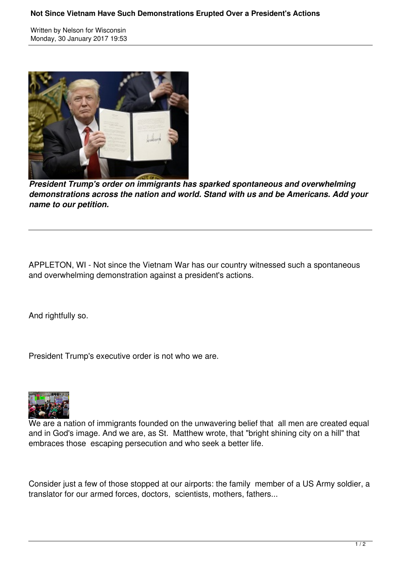## **Not Since Vietnam Have Such Demonstrations Erupted Over a President's Actions**

Written by Nelson for Wisconsin Monday, 30 January 2017 19:53



*President Trump's order on immigrants has sparked spontaneous and overwhelming demonstrations across the nation and world. Stand with us and be Americans. Add your name to our petition.*

APPLETON, WI - Not since the Vietnam War has our country witnessed such a spontaneous and overwhelming demonstration against a president's actions.

And rightfully so.

President Trump's executive order is not who we are.



We are a nation of immigrants founded on the unwavering belief that all men are created equal and in God's image. And we are, as St. Matthew wrote, that "bright shining city on a hill" that embraces those escaping persecution and who seek a better life.

Consider just a few of those stopped at our airports: the family member of a US Army soldier, a translator for our armed forces, doctors, scientists, mothers, fathers...